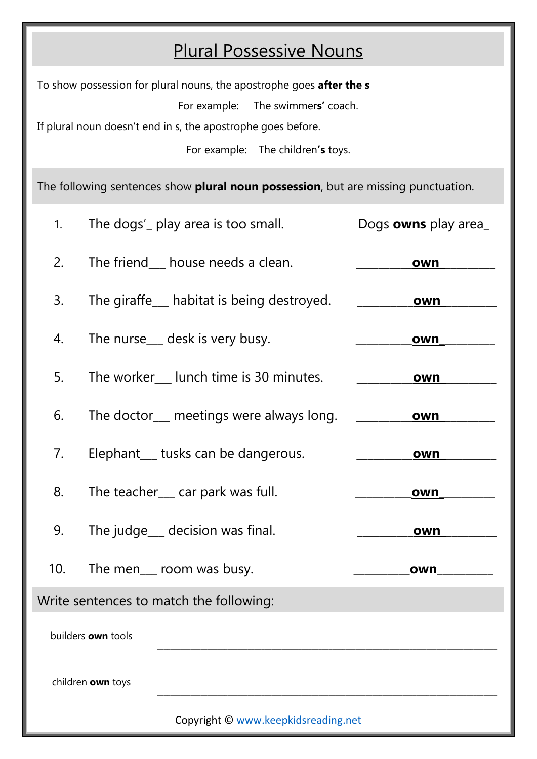## Plural Possessive Nouns

To show possession for plural nouns, the apostrophe goes **after the s**

For example: The swimmer**s'** coach.

If plural noun doesn't end in s, the apostrophe goes before.

For example: The children**'s** toys.

The following sentences show **plural noun possession**, but are missing punctuation.

| 1 <sub>1</sub>                          | The dogs' play area is too small.                     | Dogs owns play area |  |  |
|-----------------------------------------|-------------------------------------------------------|---------------------|--|--|
| 2.                                      | The friend house needs a clean.                       | own                 |  |  |
| 3.                                      | The giraffe <sub>-c</sub> habitat is being destroyed. | own                 |  |  |
| 4.                                      | The nurse___ desk is very busy.                       | own                 |  |  |
| 5.                                      | The worker___ lunch time is 30 minutes.               | own                 |  |  |
| 6.                                      | The doctor__ meetings were always long.               | own                 |  |  |
| 7.                                      | Elephant___ tusks can be dangerous.                   | own                 |  |  |
| 8.                                      | The teacher car park was full.                        | own                 |  |  |
| 9.                                      | The judge___ decision was final.                      | own                 |  |  |
| 10.                                     | The men__ room was busy.                              | own                 |  |  |
| Write sentences to match the following: |                                                       |                     |  |  |
| builders own tools                      |                                                       |                     |  |  |
| children own toys                       |                                                       |                     |  |  |
|                                         | Copyright © www.keepkidsreading.net                   |                     |  |  |